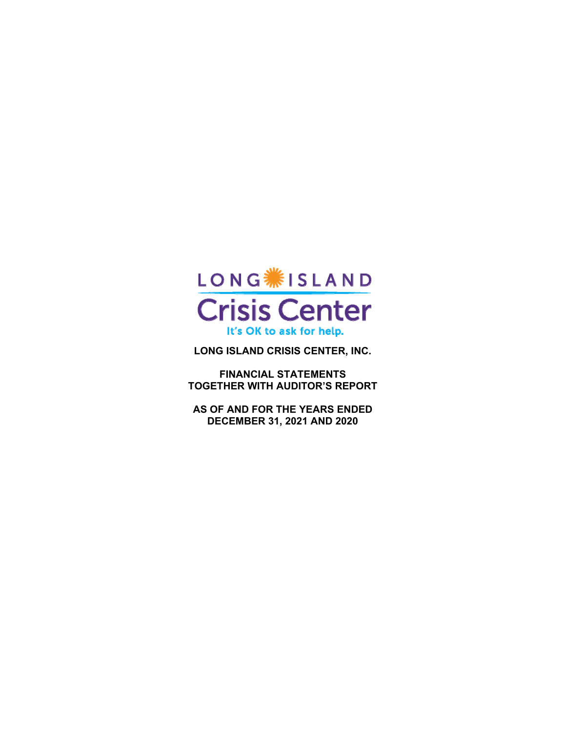

**LONG ISLAND CRISIS CENTER, INC.** 

**FINANCIAL STATEMENTS TOGETHER WITH AUDITOR'S REPORT** 

**AS OF AND FOR THE YEARS ENDED DECEMBER 31, 2021 AND 2020**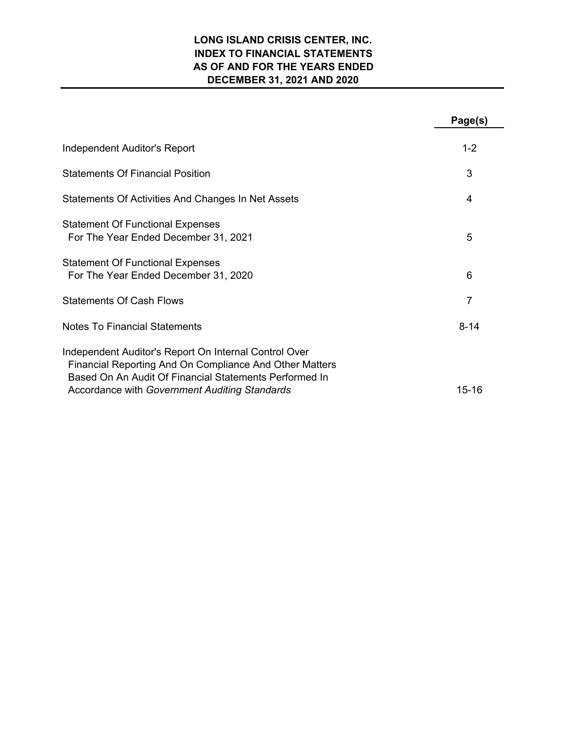# **LONG ISLAND CRISIS CENTER, INC. INDEX TO FINANCIAL STATEMENTS AS OF AND FOR THE YEARS ENDED DECEMBER 31, 2021 AND 2020**

|                                                                                                                                                                                                                             | Page(s)  |
|-----------------------------------------------------------------------------------------------------------------------------------------------------------------------------------------------------------------------------|----------|
| Independent Auditor's Report                                                                                                                                                                                                | $1 - 2$  |
| <b>Statements Of Financial Position</b>                                                                                                                                                                                     | 3        |
| Statements Of Activities And Changes In Net Assets                                                                                                                                                                          | 4        |
| <b>Statement Of Functional Expenses</b><br>For The Year Ended December 31, 2021                                                                                                                                             | 5        |
| <b>Statement Of Functional Expenses</b><br>For The Year Ended December 31, 2020                                                                                                                                             | 6        |
| <b>Statements Of Cash Flows</b>                                                                                                                                                                                             | 7        |
| <b>Notes To Financial Statements</b>                                                                                                                                                                                        | $8 - 14$ |
| Independent Auditor's Report On Internal Control Over<br>Financial Reporting And On Compliance And Other Matters<br>Based On An Audit Of Financial Statements Performed In<br>Accordance with Government Auditing Standards | 15-16    |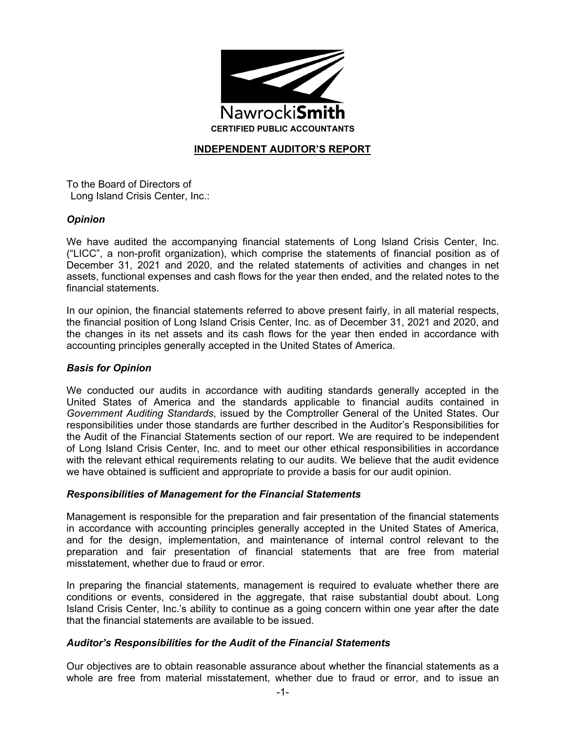

# **INDEPENDENT AUDITOR'S REPORT**

To the Board of Directors of Long Island Crisis Center, Inc.:

# *Opinion*

We have audited the accompanying financial statements of Long Island Crisis Center, Inc. ("LICC", a non-profit organization), which comprise the statements of financial position as of December 31, 2021 and 2020, and the related statements of activities and changes in net assets, functional expenses and cash flows for the year then ended, and the related notes to the financial statements.

In our opinion, the financial statements referred to above present fairly, in all material respects, the financial position of Long Island Crisis Center, Inc. as of December 31, 2021 and 2020, and the changes in its net assets and its cash flows for the year then ended in accordance with accounting principles generally accepted in the United States of America.

#### *Basis for Opinion*

We conducted our audits in accordance with auditing standards generally accepted in the United States of America and the standards applicable to financial audits contained in *Government Auditing Standards*, issued by the Comptroller General of the United States. Our responsibilities under those standards are further described in the Auditor's Responsibilities for the Audit of the Financial Statements section of our report. We are required to be independent of Long Island Crisis Center, Inc. and to meet our other ethical responsibilities in accordance with the relevant ethical requirements relating to our audits. We believe that the audit evidence we have obtained is sufficient and appropriate to provide a basis for our audit opinion.

#### *Responsibilities of Management for the Financial Statements*

Management is responsible for the preparation and fair presentation of the financial statements in accordance with accounting principles generally accepted in the United States of America, and for the design, implementation, and maintenance of internal control relevant to the preparation and fair presentation of financial statements that are free from material misstatement, whether due to fraud or error.

In preparing the financial statements, management is required to evaluate whether there are conditions or events, considered in the aggregate, that raise substantial doubt about. Long Island Crisis Center, Inc.'s ability to continue as a going concern within one year after the date that the financial statements are available to be issued.

#### *Auditor's Responsibilities for the Audit of the Financial Statements*

Our objectives are to obtain reasonable assurance about whether the financial statements as a whole are free from material misstatement, whether due to fraud or error, and to issue an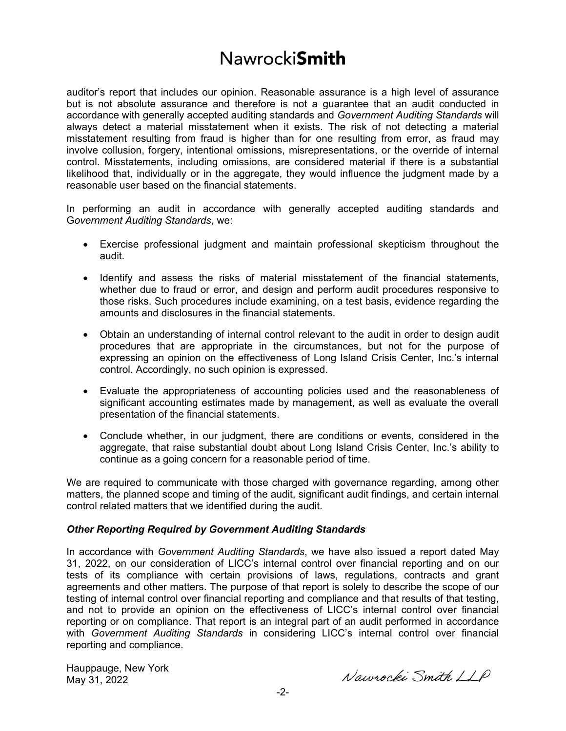# **Nawrocki**Smith

auditor's report that includes our opinion. Reasonable assurance is a high level of assurance but is not absolute assurance and therefore is not a guarantee that an audit conducted in accordance with generally accepted auditing standards and *Government Auditing Standards* will always detect a material misstatement when it exists. The risk of not detecting a material misstatement resulting from fraud is higher than for one resulting from error, as fraud may involve collusion, forgery, intentional omissions, misrepresentations, or the override of internal control. Misstatements, including omissions, are considered material if there is a substantial likelihood that, individually or in the aggregate, they would influence the judgment made by a reasonable user based on the financial statements.

In performing an audit in accordance with generally accepted auditing standards and G*overnment Auditing Standards*, we:

- Exercise professional judgment and maintain professional skepticism throughout the audit.
- Identify and assess the risks of material misstatement of the financial statements, whether due to fraud or error, and design and perform audit procedures responsive to those risks. Such procedures include examining, on a test basis, evidence regarding the amounts and disclosures in the financial statements.
- Obtain an understanding of internal control relevant to the audit in order to design audit procedures that are appropriate in the circumstances, but not for the purpose of expressing an opinion on the effectiveness of Long Island Crisis Center, Inc.'s internal control. Accordingly, no such opinion is expressed.
- Evaluate the appropriateness of accounting policies used and the reasonableness of significant accounting estimates made by management, as well as evaluate the overall presentation of the financial statements.
- Conclude whether, in our judgment, there are conditions or events, considered in the aggregate, that raise substantial doubt about Long Island Crisis Center, Inc.'s ability to continue as a going concern for a reasonable period of time.

We are required to communicate with those charged with governance regarding, among other matters, the planned scope and timing of the audit, significant audit findings, and certain internal control related matters that we identified during the audit.

#### *Other Reporting Required by Government Auditing Standards*

In accordance with *Government Auditing Standards*, we have also issued a report dated May 31, 2022, on our consideration of LICC's internal control over financial reporting and on our tests of its compliance with certain provisions of laws, regulations, contracts and grant agreements and other matters. The purpose of that report is solely to describe the scope of our testing of internal control over financial reporting and compliance and that results of that testing, and not to provide an opinion on the effectiveness of LICC's internal control over financial reporting or on compliance. That report is an integral part of an audit performed in accordance with *Government Auditing Standards* in considering LICC's internal control over financial reporting and compliance.

Hauppauge, New York May 31, 2022

Nawrocki Smith LLP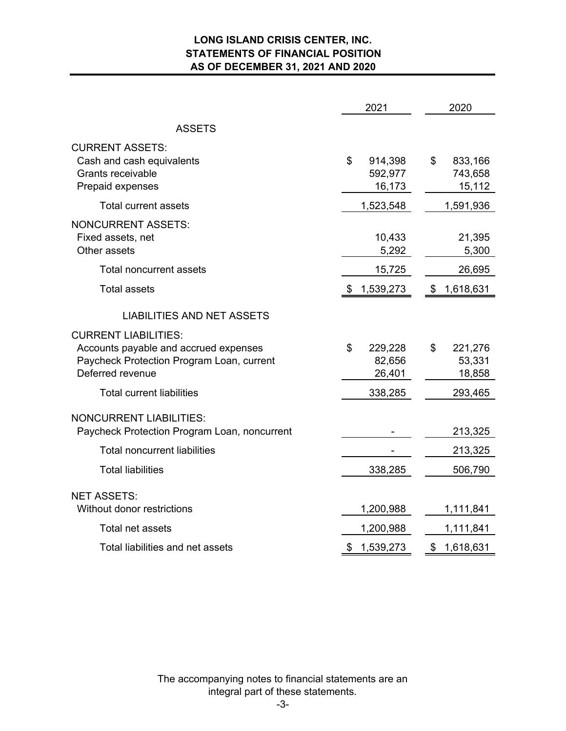# **AS OF DECEMBER 31, 2021 AND 2020 STATEMENTS OF FINANCIAL POSITION LONG ISLAND CRISIS CENTER, INC.**

|                                                                                                                                       | 2021                               | 2020                               |
|---------------------------------------------------------------------------------------------------------------------------------------|------------------------------------|------------------------------------|
| <b>ASSETS</b>                                                                                                                         |                                    |                                    |
| <b>CURRENT ASSETS:</b><br>Cash and cash equivalents<br>Grants receivable<br>Prepaid expenses                                          | \$<br>914,398<br>592,977<br>16,173 | \$<br>833,166<br>743,658<br>15,112 |
| <b>Total current assets</b>                                                                                                           | 1,523,548                          | 1,591,936                          |
| <b>NONCURRENT ASSETS:</b><br>Fixed assets, net<br>Other assets                                                                        | 10,433<br>5,292                    | 21,395<br>5,300                    |
| <b>Total noncurrent assets</b>                                                                                                        | 15,725                             | 26,695                             |
| <b>Total assets</b>                                                                                                                   | 1,539,273<br>\$                    | 1,618,631<br>\$                    |
| <b>LIABILITIES AND NET ASSETS</b>                                                                                                     |                                    |                                    |
| <b>CURRENT LIABILITIES:</b><br>Accounts payable and accrued expenses<br>Paycheck Protection Program Loan, current<br>Deferred revenue | \$<br>229,228<br>82,656<br>26,401  | \$<br>221,276<br>53,331<br>18,858  |
| <b>Total current liabilities</b>                                                                                                      | 338,285                            | 293,465                            |
| <b>NONCURRENT LIABILITIES:</b><br>Paycheck Protection Program Loan, noncurrent                                                        |                                    | 213,325                            |
| <b>Total noncurrent liabilities</b>                                                                                                   |                                    | 213,325                            |
| <b>Total liabilities</b>                                                                                                              | 338,285                            | 506,790                            |
| <b>NET ASSETS:</b><br>Without donor restrictions                                                                                      | 1,200,988                          | 1,111,841                          |
| Total net assets                                                                                                                      | 1,200,988                          | 1,111,841                          |
| Total liabilities and net assets                                                                                                      | \$<br>1,539,273                    | \$<br>1,618,631                    |

The accompanying notes to financial statements are an integral part of these statements.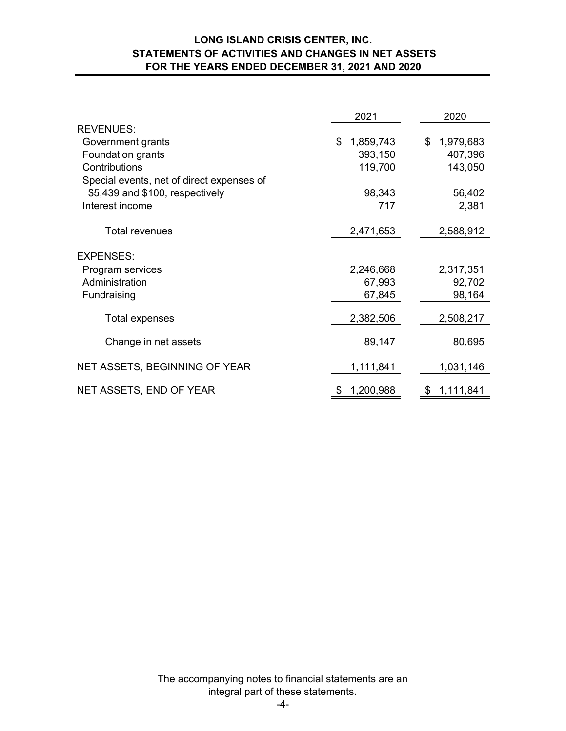# **LONG ISLAND CRISIS CENTER, INC. STATEMENTS OF ACTIVITIES AND CHANGES IN NET ASSETS FOR THE YEARS ENDED DECEMBER 31, 2021 AND 2020**

|                                           | 2021            | 2020            |
|-------------------------------------------|-----------------|-----------------|
| <b>REVENUES:</b>                          |                 |                 |
| Government grants                         | \$<br>1,859,743 | 1,979,683<br>\$ |
| Foundation grants                         | 393,150         | 407,396         |
| Contributions                             | 119,700         | 143,050         |
| Special events, net of direct expenses of |                 |                 |
| \$5,439 and \$100, respectively           | 98,343          | 56,402          |
| Interest income                           | 717             | 2,381           |
|                                           |                 |                 |
| <b>Total revenues</b>                     | 2,471,653       | 2,588,912       |
|                                           |                 |                 |
| <b>EXPENSES:</b>                          |                 |                 |
| Program services                          | 2,246,668       | 2,317,351       |
| Administration                            | 67,993          | 92,702          |
| Fundraising                               | 67,845          | 98,164          |
|                                           |                 |                 |
| <b>Total expenses</b>                     | 2,382,506       | 2,508,217       |
| Change in net assets                      | 89,147          | 80,695          |
|                                           |                 |                 |
| NET ASSETS, BEGINNING OF YEAR             | 1,111,841       | 1,031,146       |
|                                           |                 |                 |
| NET ASSETS, END OF YEAR                   | 1,200,988       | 1,111,841       |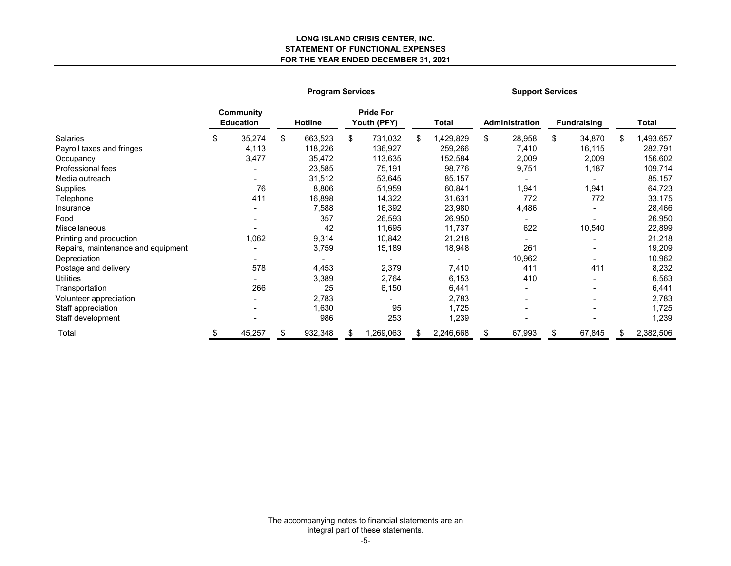#### **LONG ISLAND CRISIS CENTER, INC. STATEMENT OF FUNCTIONAL EXPENSESFOR THE YEAR ENDED DECEMBER 31, 2021**

|                                    | <b>Program Services</b> |                               |    |                |    | <b>Support Services</b>         |    |           |    |                |    |                    |    |           |
|------------------------------------|-------------------------|-------------------------------|----|----------------|----|---------------------------------|----|-----------|----|----------------|----|--------------------|----|-----------|
|                                    |                         | Community<br><b>Education</b> |    | <b>Hotline</b> |    | <b>Pride For</b><br>Youth (PFY) |    | Total     |    | Administration |    | <b>Fundraising</b> |    | Total     |
| <b>Salaries</b>                    | \$                      | 35,274                        | \$ | 663,523        | \$ | 731,032                         | \$ | 1,429,829 | \$ | 28,958         | \$ | 34,870             | \$ | ,493,657  |
| Payroll taxes and fringes          |                         | 4,113                         |    | 118,226        |    | 136,927                         |    | 259,266   |    | 7,410          |    | 16,115             |    | 282,791   |
| Occupancy                          |                         | 3,477                         |    | 35,472         |    | 113,635                         |    | 152,584   |    | 2,009          |    | 2,009              |    | 156,602   |
| Professional fees                  |                         |                               |    | 23,585         |    | 75,191                          |    | 98,776    |    | 9,751          |    | 1,187              |    | 109,714   |
| Media outreach                     |                         |                               |    | 31,512         |    | 53,645                          |    | 85,157    |    |                |    |                    |    | 85,157    |
| Supplies                           |                         | 76                            |    | 8,806          |    | 51,959                          |    | 60,841    |    | 1,941          |    | 1,941              |    | 64,723    |
| Telephone                          |                         | 411                           |    | 16,898         |    | 14,322                          |    | 31,631    |    | 772            |    | 772                |    | 33,175    |
| Insurance                          |                         |                               |    | 7,588          |    | 16,392                          |    | 23,980    |    | 4,486          |    |                    |    | 28,466    |
| Food                               |                         |                               |    | 357            |    | 26,593                          |    | 26,950    |    |                |    |                    |    | 26,950    |
| <b>Miscellaneous</b>               |                         |                               |    | 42             |    | 11,695                          |    | 11,737    |    | 622            |    | 10,540             |    | 22,899    |
| Printing and production            |                         | 1,062                         |    | 9,314          |    | 10,842                          |    | 21,218    |    |                |    |                    |    | 21,218    |
| Repairs, maintenance and equipment |                         |                               |    | 3,759          |    | 15,189                          |    | 18,948    |    | 261            |    |                    |    | 19,209    |
| Depreciation                       |                         |                               |    |                |    |                                 |    |           |    | 10,962         |    |                    |    | 10,962    |
| Postage and delivery               |                         | 578                           |    | 4,453          |    | 2,379                           |    | 7,410     |    | 411            |    | 411                |    | 8,232     |
| <b>Utilities</b>                   |                         |                               |    | 3,389          |    | 2,764                           |    | 6,153     |    | 410            |    |                    |    | 6,563     |
| Transportation                     |                         | 266                           |    | 25             |    | 6,150                           |    | 6,441     |    |                |    |                    |    | 6,441     |
| Volunteer appreciation             |                         |                               |    | 2,783          |    |                                 |    | 2,783     |    |                |    |                    |    | 2,783     |
| Staff appreciation                 |                         |                               |    | 1,630          |    | 95                              |    | 1,725     |    |                |    |                    |    | 1,725     |
| Staff development                  |                         |                               |    | 986            |    | 253                             |    | 1,239     |    |                |    |                    |    | 1,239     |
| Total                              |                         | 45,257                        | S  | 932,348        | \$ | 1,269,063                       | £. | 2,246,668 |    | 67,993         | \$ | 67,845             | S  | 2,382,506 |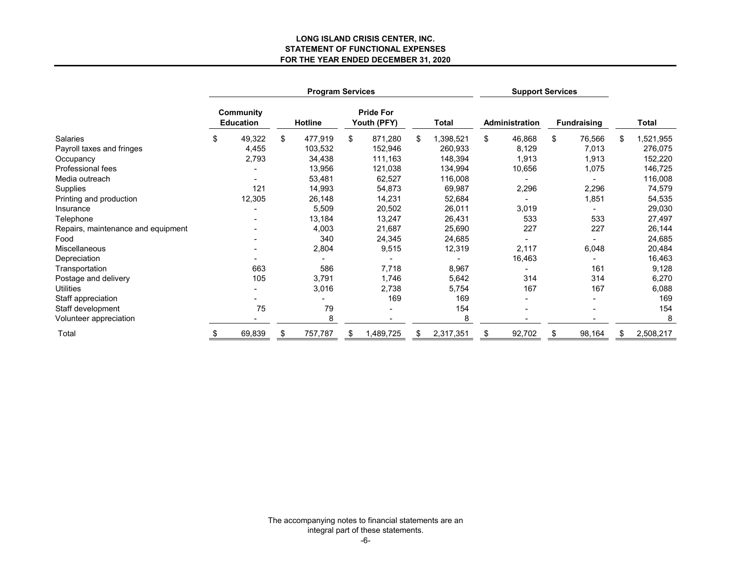#### **LONG ISLAND CRISIS CENTER, INC. STATEMENT OF FUNCTIONAL EXPENSESFOR THE YEAR ENDED DECEMBER 31, 2020**

|                                    | <b>Program Services</b> |                               |    |                |    | <b>Support Services</b>         |                 |    |                |    |                    |    |           |
|------------------------------------|-------------------------|-------------------------------|----|----------------|----|---------------------------------|-----------------|----|----------------|----|--------------------|----|-----------|
|                                    |                         | Community<br><b>Education</b> |    | <b>Hotline</b> |    | <b>Pride For</b><br>Youth (PFY) | Total           |    | Administration |    | <b>Fundraising</b> |    | Total     |
| Salaries                           | \$                      | 49,322                        | \$ | 477,919        | \$ | 871,280                         | \$<br>1,398,521 | \$ | 46,868         | \$ | 76,566             | \$ | 1,521,955 |
| Payroll taxes and fringes          |                         | 4,455                         |    | 103,532        |    | 152,946                         | 260,933         |    | 8,129          |    | 7,013              |    | 276,075   |
| Occupancy                          |                         | 2,793                         |    | 34,438         |    | 111,163                         | 148,394         |    | 1,913          |    | 1,913              |    | 152,220   |
| Professional fees                  |                         |                               |    | 13,956         |    | 121,038                         | 134,994         |    | 10,656         |    | 1,075              |    | 146,725   |
| Media outreach                     |                         |                               |    | 53,481         |    | 62,527                          | 116,008         |    |                |    |                    |    | 116,008   |
| Supplies                           |                         | 121                           |    | 14,993         |    | 54,873                          | 69,987          |    | 2,296          |    | 2,296              |    | 74,579    |
| Printing and production            |                         | 12,305                        |    | 26,148         |    | 14,231                          | 52,684          |    |                |    | 1,851              |    | 54,535    |
| Insurance                          |                         |                               |    | 5,509          |    | 20,502                          | 26,011          |    | 3,019          |    |                    |    | 29,030    |
| Telephone                          |                         |                               |    | 13,184         |    | 13,247                          | 26,431          |    | 533            |    | 533                |    | 27,497    |
| Repairs, maintenance and equipment |                         |                               |    | 4,003          |    | 21,687                          | 25,690          |    | 227            |    | 227                |    | 26,144    |
| Food                               |                         |                               |    | 340            |    | 24,345                          | 24,685          |    |                |    |                    |    | 24,685    |
| <b>Miscellaneous</b>               |                         |                               |    | 2,804          |    | 9,515                           | 12,319          |    | 2,117          |    | 6,048              |    | 20,484    |
| Depreciation                       |                         |                               |    |                |    |                                 |                 |    | 16,463         |    |                    |    | 16,463    |
| Transportation                     |                         | 663                           |    | 586            |    | 7,718                           | 8,967           |    |                |    | 161                |    | 9,128     |
| Postage and delivery               |                         | 105                           |    | 3,791          |    | 1,746                           | 5,642           |    | 314            |    | 314                |    | 6,270     |
| <b>Utilities</b>                   |                         |                               |    | 3,016          |    | 2,738                           | 5,754           |    | 167            |    | 167                |    | 6,088     |
| Staff appreciation                 |                         |                               |    |                |    | 169                             | 169             |    |                |    |                    |    | 169       |
| Staff development                  |                         | 75                            |    | 79             |    |                                 | 154             |    |                |    |                    |    | 154       |
| Volunteer appreciation             |                         |                               |    | 8              |    |                                 | 8               |    |                |    |                    |    | 8         |
| Total                              | S                       | 69,839                        | \$ | 757,787        | \$ | 1,489,725                       | \$<br>2,317,351 | \$ | 92,702         | \$ | 98,164             | \$ | 2,508,217 |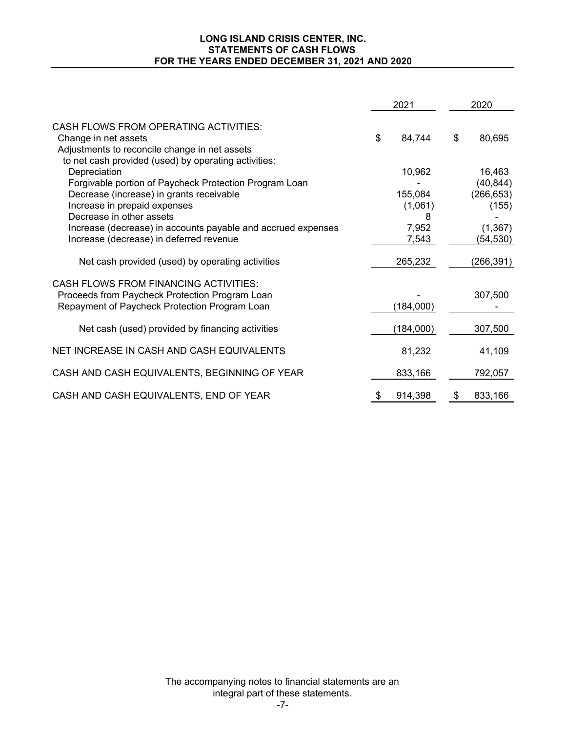#### **LONG ISLAND CRISIS CENTER, INC. STATEMENTS OF CASH FLOWS FOR THE YEARS ENDED DECEMBER 31, 2021 AND 2020**

|                                                                                                                                                                                                            | 2021                         | 2020                                       |
|------------------------------------------------------------------------------------------------------------------------------------------------------------------------------------------------------------|------------------------------|--------------------------------------------|
| <b>CASH FLOWS FROM OPERATING ACTIVITIES:</b><br>Change in net assets<br>Adjustments to reconcile change in net assets                                                                                      | \$<br>84,744                 | \$<br>80,695                               |
| to net cash provided (used) by operating activities:<br>Depreciation<br>Forgivable portion of Paycheck Protection Program Loan<br>Decrease (increase) in grants receivable<br>Increase in prepaid expenses | 10,962<br>155,084<br>(1,061) | 16,463<br>(40, 844)<br>(266, 653)<br>(155) |
| Decrease in other assets<br>Increase (decrease) in accounts payable and accrued expenses<br>Increase (decrease) in deferred revenue                                                                        | 8<br>7,952<br>7,543          | (1, 367)<br>(54,530)                       |
| Net cash provided (used) by operating activities                                                                                                                                                           | 265,232                      | (266, 391)                                 |
| <b>CASH FLOWS FROM FINANCING ACTIVITIES:</b><br>Proceeds from Paycheck Protection Program Loan<br>Repayment of Paycheck Protection Program Loan                                                            | (184,000)                    | 307,500                                    |
| Net cash (used) provided by financing activities                                                                                                                                                           | (184,000)                    | 307,500                                    |
| NET INCREASE IN CASH AND CASH EQUIVALENTS                                                                                                                                                                  | 81,232                       | 41,109                                     |
| CASH AND CASH EQUIVALENTS, BEGINNING OF YEAR                                                                                                                                                               | 833,166                      | 792,057                                    |
| CASH AND CASH EQUIVALENTS, END OF YEAR                                                                                                                                                                     | 914,398                      | 833,166                                    |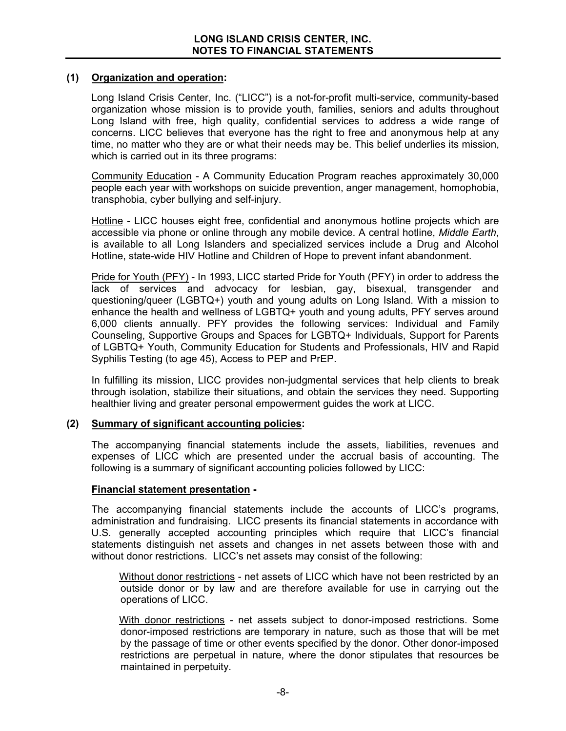# **(1) Organization and operation:**

 Long Island Crisis Center, Inc. ("LICC") is a not-for-profit multi-service, community-based organization whose mission is to provide youth, families, seniors and adults throughout Long Island with free, high quality, confidential services to address a wide range of concerns. LICC believes that everyone has the right to free and anonymous help at any time, no matter who they are or what their needs may be. This belief underlies its mission, which is carried out in its three programs:

Community Education - A Community Education Program reaches approximately 30,000 people each year with workshops on suicide prevention, anger management, homophobia, transphobia, cyber bullying and self-injury.

Hotline - LICC houses eight free, confidential and anonymous hotline projects which are accessible via phone or online through any mobile device. A central hotline, *Middle Earth*, is available to all Long Islanders and specialized services include a Drug and Alcohol Hotline, state-wide HIV Hotline and Children of Hope to prevent infant abandonment.

 Pride for Youth (PFY) - In 1993, LICC started Pride for Youth (PFY) in order to address the lack of services and advocacy for lesbian, gay, bisexual, transgender and questioning/queer (LGBTQ+) youth and young adults on Long Island. With a mission to enhance the health and wellness of LGBTQ+ youth and young adults, PFY serves around 6,000 clients annually. PFY provides the following services: Individual and Family Counseling, Supportive Groups and Spaces for LGBTQ+ Individuals, Support for Parents of LGBTQ+ Youth, Community Education for Students and Professionals, HIV and Rapid Syphilis Testing (to age 45), Access to PEP and PrEP.

 In fulfilling its mission, LICC provides non-judgmental services that help clients to break through isolation, stabilize their situations, and obtain the services they need. Supporting healthier living and greater personal empowerment guides the work at LICC.

#### **(2) Summary of significant accounting policies:**

The accompanying financial statements include the assets, liabilities, revenues and expenses of LICC which are presented under the accrual basis of accounting. The following is a summary of significant accounting policies followed by LICC:

#### **Financial statement presentation -**

 The accompanying financial statements include the accounts of LICC's programs, administration and fundraising. LICC presents its financial statements in accordance with U.S. generally accepted accounting principles which require that LICC's financial statements distinguish net assets and changes in net assets between those with and without donor restrictions. LICC's net assets may consist of the following:

 Without donor restrictions - net assets of LICC which have not been restricted by an outside donor or by law and are therefore available for use in carrying out the operations of LICC.

With donor restrictions - net assets subject to donor-imposed restrictions. Some donor-imposed restrictions are temporary in nature, such as those that will be met by the passage of time or other events specified by the donor. Other donor-imposed restrictions are perpetual in nature, where the donor stipulates that resources be maintained in perpetuity.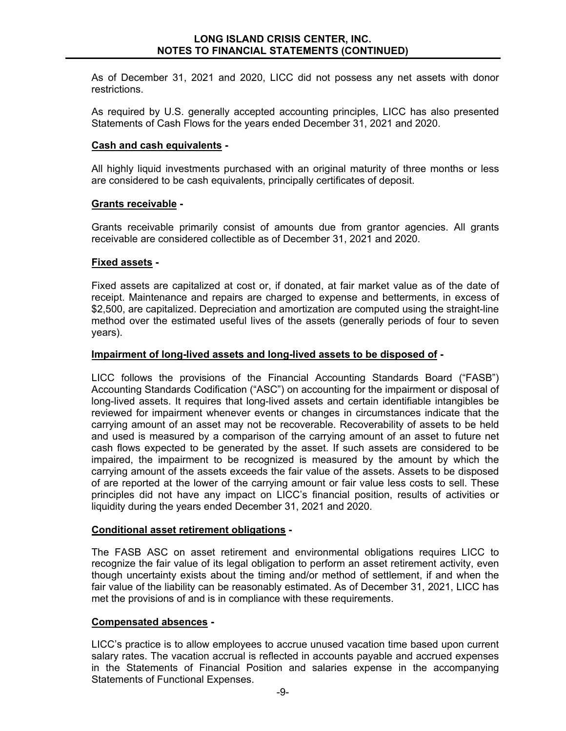As of December 31, 2021 and 2020, LICC did not possess any net assets with donor restrictions.

As required by U.S. generally accepted accounting principles, LICC has also presented Statements of Cash Flows for the years ended December 31, 2021 and 2020.

# **Cash and cash equivalents -**

 All highly liquid investments purchased with an original maturity of three months or less are considered to be cash equivalents, principally certificates of deposit.

# **Grants receivable -**

 Grants receivable primarily consist of amounts due from grantor agencies. All grants receivable are considered collectible as of December 31, 2021 and 2020.

#### **Fixed assets -**

 Fixed assets are capitalized at cost or, if donated, at fair market value as of the date of receipt. Maintenance and repairs are charged to expense and betterments, in excess of \$2,500, are capitalized. Depreciation and amortization are computed using the straight-line method over the estimated useful lives of the assets (generally periods of four to seven years).

#### **Impairment of long-lived assets and long-lived assets to be disposed of -**

 LICC follows the provisions of the Financial Accounting Standards Board ("FASB") Accounting Standards Codification ("ASC") on accounting for the impairment or disposal of long-lived assets. It requires that long-lived assets and certain identifiable intangibles be reviewed for impairment whenever events or changes in circumstances indicate that the carrying amount of an asset may not be recoverable. Recoverability of assets to be held and used is measured by a comparison of the carrying amount of an asset to future net cash flows expected to be generated by the asset. If such assets are considered to be impaired, the impairment to be recognized is measured by the amount by which the carrying amount of the assets exceeds the fair value of the assets. Assets to be disposed of are reported at the lower of the carrying amount or fair value less costs to sell. These principles did not have any impact on LICC's financial position, results of activities or liquidity during the years ended December 31, 2021 and 2020.

# **Conditional asset retirement obligations -**

The FASB ASC on asset retirement and environmental obligations requires LICC to recognize the fair value of its legal obligation to perform an asset retirement activity, even though uncertainty exists about the timing and/or method of settlement, if and when the fair value of the liability can be reasonably estimated. As of December 31, 2021, LICC has met the provisions of and is in compliance with these requirements.

# **Compensated absences -**

LICC's practice is to allow employees to accrue unused vacation time based upon current salary rates. The vacation accrual is reflected in accounts payable and accrued expenses in the Statements of Financial Position and salaries expense in the accompanying Statements of Functional Expenses.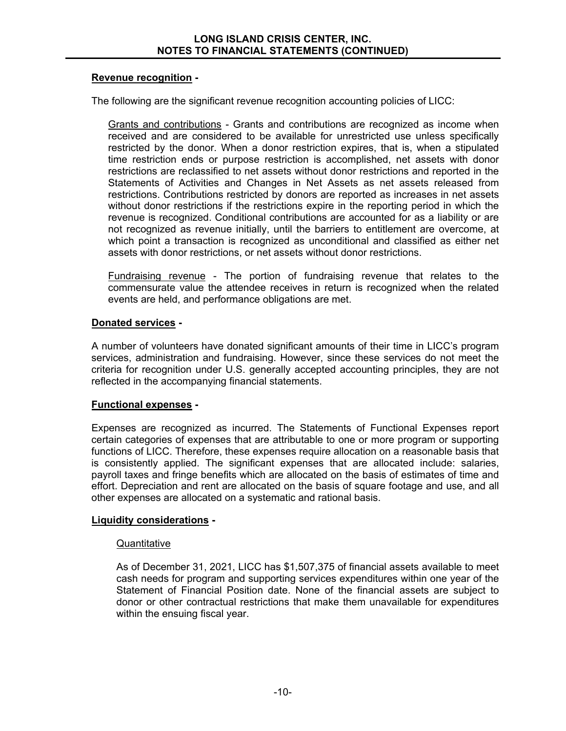# **Revenue recognition -**

The following are the significant revenue recognition accounting policies of LICC:

Grants and contributions - Grants and contributions are recognized as income when received and are considered to be available for unrestricted use unless specifically restricted by the donor. When a donor restriction expires, that is, when a stipulated time restriction ends or purpose restriction is accomplished, net assets with donor restrictions are reclassified to net assets without donor restrictions and reported in the Statements of Activities and Changes in Net Assets as net assets released from restrictions. Contributions restricted by donors are reported as increases in net assets without donor restrictions if the restrictions expire in the reporting period in which the revenue is recognized. Conditional contributions are accounted for as a liability or are not recognized as revenue initially, until the barriers to entitlement are overcome, at which point a transaction is recognized as unconditional and classified as either net assets with donor restrictions, or net assets without donor restrictions.

Fundraising revenue - The portion of fundraising revenue that relates to the commensurate value the attendee receives in return is recognized when the related events are held, and performance obligations are met.

# **Donated services -**

 A number of volunteers have donated significant amounts of their time in LICC's program services, administration and fundraising. However, since these services do not meet the criteria for recognition under U.S. generally accepted accounting principles, they are not reflected in the accompanying financial statements.

# **Functional expenses -**

 Expenses are recognized as incurred. The Statements of Functional Expenses report certain categories of expenses that are attributable to one or more program or supporting functions of LICC. Therefore, these expenses require allocation on a reasonable basis that is consistently applied. The significant expenses that are allocated include: salaries, payroll taxes and fringe benefits which are allocated on the basis of estimates of time and effort. Depreciation and rent are allocated on the basis of square footage and use, and all other expenses are allocated on a systematic and rational basis.

# **Liquidity considerations -**

# **Quantitative**

 As of December 31, 2021, LICC has \$1,507,375 of financial assets available to meet cash needs for program and supporting services expenditures within one year of the Statement of Financial Position date. None of the financial assets are subject to donor or other contractual restrictions that make them unavailable for expenditures within the ensuing fiscal year.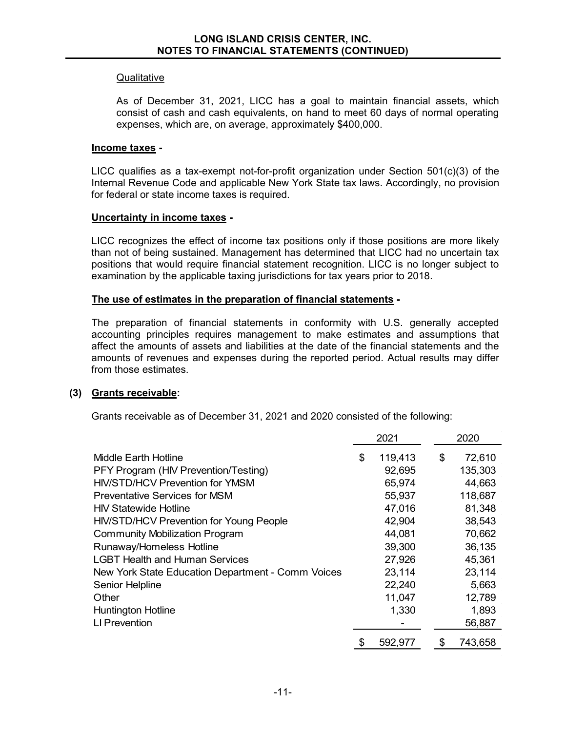#### **Qualitative**

 As of December 31, 2021, LICC has a goal to maintain financial assets, which consist of cash and cash equivalents, on hand to meet 60 days of normal operating expenses, which are, on average, approximately \$400,000.

#### **Income taxes -**

LICC qualifies as a tax-exempt not-for-profit organization under Section  $501(c)(3)$  of the Internal Revenue Code and applicable New York State tax laws. Accordingly, no provision for federal or state income taxes is required.

#### **Uncertainty in income taxes -**

LICC recognizes the effect of income tax positions only if those positions are more likely than not of being sustained. Management has determined that LICC had no uncertain tax positions that would require financial statement recognition. LICC is no longer subject to examination by the applicable taxing jurisdictions for tax years prior to 2018.

#### **The use of estimates in the preparation of financial statements -**

 The preparation of financial statements in conformity with U.S. generally accepted accounting principles requires management to make estimates and assumptions that affect the amounts of assets and liabilities at the date of the financial statements and the amounts of revenues and expenses during the reported period. Actual results may differ from those estimates.

#### **(3) Grants receivable:**

Grants receivable as of December 31, 2021 and 2020 consisted of the following:

|                                                   | 2021          | 2020          |
|---------------------------------------------------|---------------|---------------|
| Middle Earth Hotline                              | \$<br>119,413 | \$<br>72,610  |
| PFY Program (HIV Prevention/Testing)              | 92,695        | 135,303       |
| <b>HIV/STD/HCV Prevention for YMSM</b>            | 65,974        | 44,663        |
| <b>Preventative Services for MSM</b>              | 55,937        | 118,687       |
| <b>HIV Statewide Hotline</b>                      | 47,016        | 81,348        |
| HIV/STD/HCV Prevention for Young People           | 42,904        | 38,543        |
| <b>Community Mobilization Program</b>             | 44,081        | 70,662        |
| Runaway/Homeless Hotline                          | 39,300        | 36,135        |
| <b>LGBT Health and Human Services</b>             | 27,926        | 45,361        |
| New York State Education Department - Comm Voices | 23,114        | 23,114        |
| <b>Senior Helpline</b>                            | 22,240        | 5,663         |
| Other                                             | 11,047        | 12,789        |
| <b>Huntington Hotline</b>                         | 1,330         | 1,893         |
| LI Prevention                                     |               | 56,887        |
|                                                   | \$<br>592,977 | \$<br>743,658 |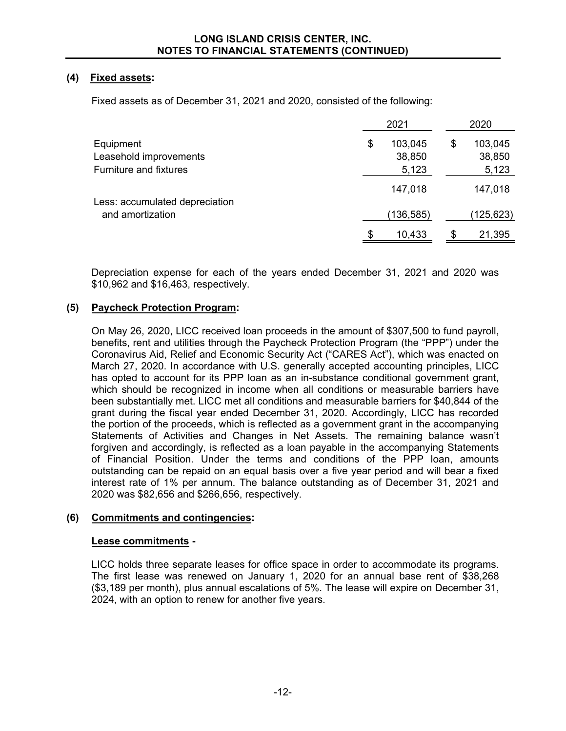# **(4) Fixed assets:**

Fixed assets as of December 31, 2021 and 2020, consisted of the following:

| 2021          |        | 2020       |
|---------------|--------|------------|
| \$<br>103,045 | \$     | 103,045    |
|               |        | 38,850     |
| 5,123         |        | 5,123      |
| 147,018       |        | 147,018    |
|               |        |            |
| (136,585)     |        | (125, 623) |
| 10,433        |        | 21,395     |
|               | 38,850 |            |

Depreciation expense for each of the years ended December 31, 2021 and 2020 was \$10,962 and \$16,463, respectively.

# **(5) Paycheck Protection Program:**

On May 26, 2020, LICC received loan proceeds in the amount of \$307,500 to fund payroll, benefits, rent and utilities through the Paycheck Protection Program (the "PPP") under the Coronavirus Aid, Relief and Economic Security Act ("CARES Act"), which was enacted on March 27, 2020. In accordance with U.S. generally accepted accounting principles, LICC has opted to account for its PPP loan as an in-substance conditional government grant, which should be recognized in income when all conditions or measurable barriers have been substantially met. LICC met all conditions and measurable barriers for \$40,844 of the grant during the fiscal year ended December 31, 2020. Accordingly, LICC has recorded the portion of the proceeds, which is reflected as a government grant in the accompanying Statements of Activities and Changes in Net Assets. The remaining balance wasn't forgiven and accordingly, is reflected as a loan payable in the accompanying Statements of Financial Position. Under the terms and conditions of the PPP loan, amounts outstanding can be repaid on an equal basis over a five year period and will bear a fixed interest rate of 1% per annum. The balance outstanding as of December 31, 2021 and 2020 was \$82,656 and \$266,656, respectively.

# **(6) Commitments and contingencies:**

# **Lease commitments -**

 LICC holds three separate leases for office space in order to accommodate its programs. The first lease was renewed on January 1, 2020 for an annual base rent of \$38,268 (\$3,189 per month), plus annual escalations of 5%. The lease will expire on December 31, 2024, with an option to renew for another five years.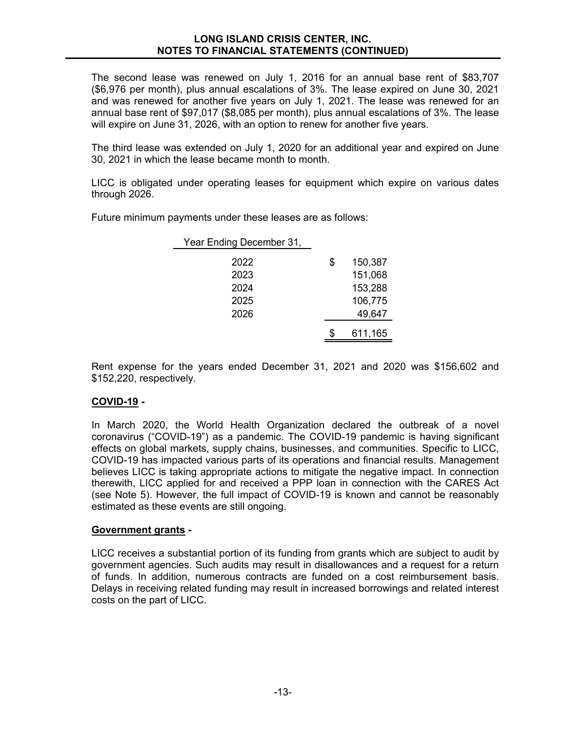# **LONG ISLAND CRISIS CENTER, INC. NOTES TO FINANCIAL STATEMENTS (CONTINUED)**

 The second lease was renewed on July 1, 2016 for an annual base rent of \$83,707 (\$6,976 per month), plus annual escalations of 3%. The lease expired on June 30, 2021 and was renewed for another five years on July 1, 2021. The lease was renewed for an annual base rent of \$97,017 (\$8,085 per month), plus annual escalations of 3%. The lease will expire on June 31, 2026, with an option to renew for another five years.

 The third lease was extended on July 1, 2020 for an additional year and expired on June 30, 2021 in which the lease became month to month.

 LICC is obligated under operating leases for equipment which expire on various dates through 2026.

| Year Ending December 31, |   |         |
|--------------------------|---|---------|
| 2022                     | S | 150,387 |
| 2023                     |   | 151,068 |
| 2024                     |   | 153,288 |
| 2025                     |   | 106,775 |
| 2026                     |   | 49,647  |
|                          |   | 611,165 |

Future minimum payments under these leases are as follows:

Rent expense for the years ended December 31, 2021 and 2020 was \$156,602 and \$152,220, respectively.

# **COVID-19 -**

In March 2020, the World Health Organization declared the outbreak of a novel coronavirus ("COVID-19") as a pandemic. The COVID-19 pandemic is having significant effects on global markets, supply chains, businesses, and communities. Specific to LICC, COVID-19 has impacted various parts of its operations and financial results. Management believes LICC is taking appropriate actions to mitigate the negative impact. In connection therewith, LICC applied for and received a PPP loan in connection with the CARES Act (see Note 5). However, the full impact of COVID-19 is known and cannot be reasonably estimated as these events are still ongoing.

# **Government grants -**

 LICC receives a substantial portion of its funding from grants which are subject to audit by government agencies. Such audits may result in disallowances and a request for a return of funds. In addition, numerous contracts are funded on a cost reimbursement basis. Delays in receiving related funding may result in increased borrowings and related interest costs on the part of LICC.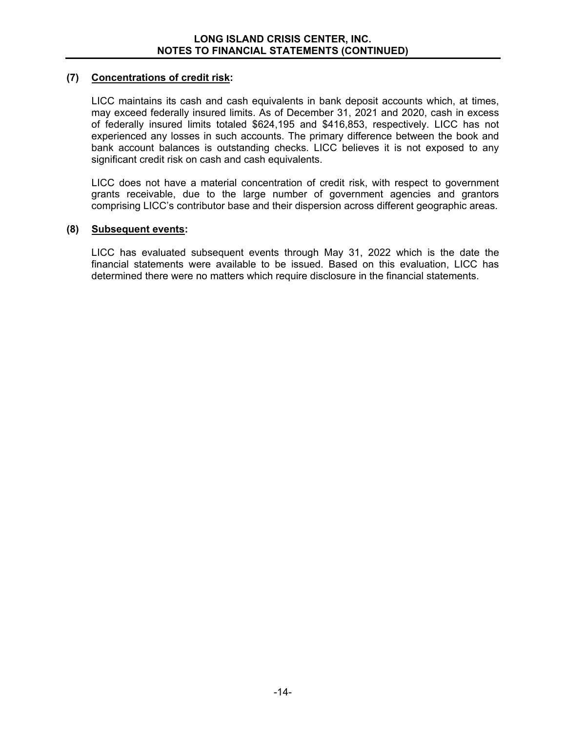# **(7) Concentrations of credit risk:**

 LICC maintains its cash and cash equivalents in bank deposit accounts which, at times, may exceed federally insured limits. As of December 31, 2021 and 2020, cash in excess of federally insured limits totaled \$624,195 and \$416,853, respectively. LICC has not experienced any losses in such accounts. The primary difference between the book and bank account balances is outstanding checks. LICC believes it is not exposed to any significant credit risk on cash and cash equivalents.

 LICC does not have a material concentration of credit risk, with respect to government grants receivable, due to the large number of government agencies and grantors comprising LICC's contributor base and their dispersion across different geographic areas.

# **(8) Subsequent events:**

LICC has evaluated subsequent events through May 31, 2022 which is the date the financial statements were available to be issued. Based on this evaluation, LICC has determined there were no matters which require disclosure in the financial statements.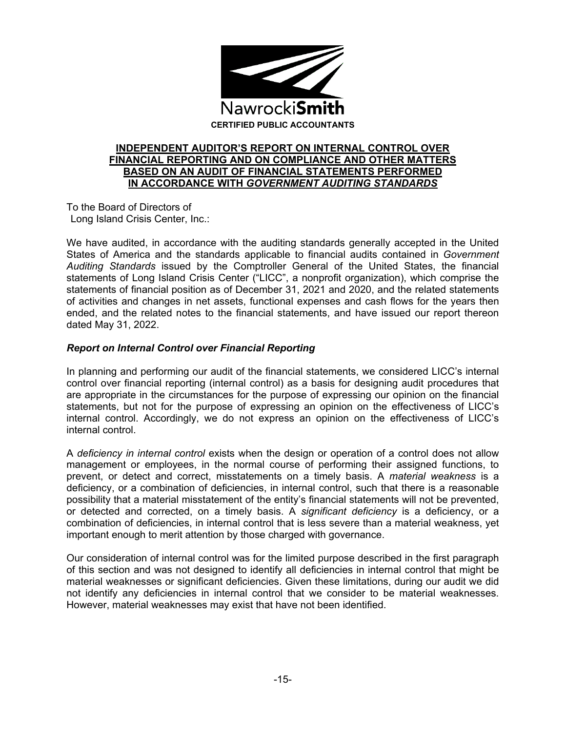

#### **INDEPENDENT AUDITOR'S REPORT ON INTERNAL CONTROL OVER FINANCIAL REPORTING AND ON COMPLIANCE AND OTHER MATTERS BASED ON AN AUDIT OF FINANCIAL STATEMENTS PERFORMED IN ACCORDANCE WITH** *GOVERNMENT AUDITING STANDARDS*

To the Board of Directors of Long Island Crisis Center, Inc.:

We have audited, in accordance with the auditing standards generally accepted in the United States of America and the standards applicable to financial audits contained in *Government Auditing Standards* issued by the Comptroller General of the United States, the financial statements of Long Island Crisis Center ("LICC", a nonprofit organization), which comprise the statements of financial position as of December 31, 2021 and 2020, and the related statements of activities and changes in net assets, functional expenses and cash flows for the years then ended, and the related notes to the financial statements, and have issued our report thereon dated May 31, 2022.

# *Report on Internal Control over Financial Reporting*

In planning and performing our audit of the financial statements, we considered LICC's internal control over financial reporting (internal control) as a basis for designing audit procedures that are appropriate in the circumstances for the purpose of expressing our opinion on the financial statements, but not for the purpose of expressing an opinion on the effectiveness of LICC's internal control. Accordingly, we do not express an opinion on the effectiveness of LICC's internal control.

A *deficiency in internal control* exists when the design or operation of a control does not allow management or employees, in the normal course of performing their assigned functions, to prevent, or detect and correct, misstatements on a timely basis. A *material weakness* is a deficiency, or a combination of deficiencies, in internal control, such that there is a reasonable possibility that a material misstatement of the entity's financial statements will not be prevented, or detected and corrected, on a timely basis. A *significant deficiency* is a deficiency, or a combination of deficiencies, in internal control that is less severe than a material weakness, yet important enough to merit attention by those charged with governance.

Our consideration of internal control was for the limited purpose described in the first paragraph of this section and was not designed to identify all deficiencies in internal control that might be material weaknesses or significant deficiencies. Given these limitations, during our audit we did not identify any deficiencies in internal control that we consider to be material weaknesses. However, material weaknesses may exist that have not been identified.